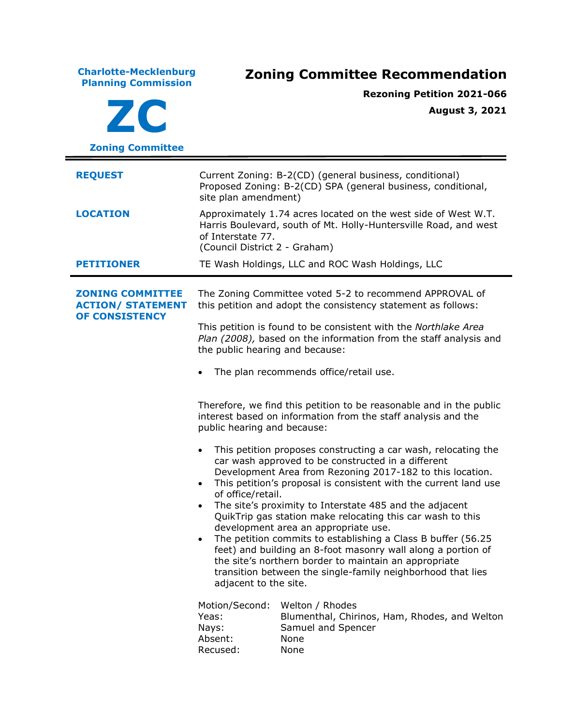**Charlotte-Mecklenburg Planning Commission Zoning Committee Recommendation ZC Zoning Committee Rezoning Petition 2021-066 August 3, 2021 REQUEST** Current Zoning: B-2(CD) (general business, conditional) Proposed Zoning: B-2(CD) SPA (general business, conditional, site plan amendment) **LOCATION** Approximately 1.74 acres located on the west side of West W.T. Harris Boulevard, south of Mt. Holly-Huntersville Road, and west of Interstate 77. (Council District 2 - Graham) **PETITIONER** TE Wash Holdings, LLC and ROC Wash Holdings, LLC **ZONING COMMITTEE ACTION/ STATEMENT OF CONSISTENCY** The Zoning Committee voted 5-2 to recommend APPROVAL of this petition and adopt the consistency statement as follows: This petition is found to be consistent with the *Northlake Area Plan (2008),* based on the information from the staff analysis and the public hearing and because: The plan recommends office/retail use. Therefore, we find this petition to be reasonable and in the public interest based on information from the staff analysis and the public hearing and because: • This petition proposes constructing a car wash, relocating the car wash approved to be constructed in a different Development Area from Rezoning 2017-182 to this location. • This petition's proposal is consistent with the current land use of office/retail. • The site's proximity to Interstate 485 and the adjacent QuikTrip gas station make relocating this car wash to this development area an appropriate use. • The petition commits to establishing a Class B buffer (56.25) feet) and building an 8-foot masonry wall along a portion of the site's northern border to maintain an appropriate transition between the single-family neighborhood that lies adjacent to the site. Motion/Second: Welton / Rhodes Yeas: Blumenthal, Chirinos, Ham, Rhodes, and Welton Nays: Samuel and Spencer Absent: None Recused: None